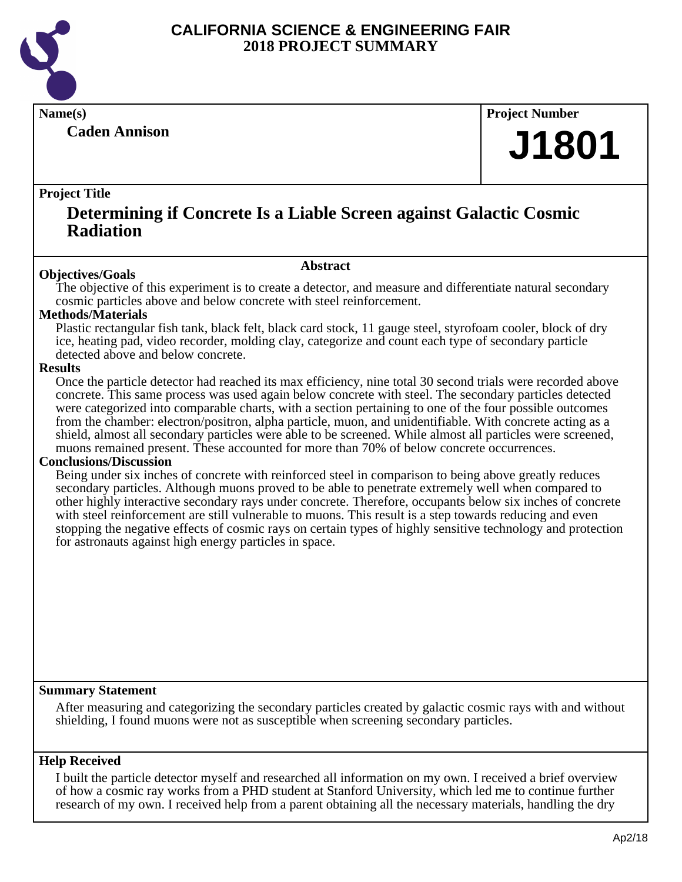

**Caden Annison**

**Name(s) Project Number**

# **J1801**

#### **Project Title**

### **Determining if Concrete Is a Liable Screen against Galactic Cosmic Radiation**

#### **Abstract**

**Objectives/Goals** The objective of this experiment is to create a detector, and measure and differentiate natural secondary cosmic particles above and below concrete with steel reinforcement.

#### **Methods/Materials**

Plastic rectangular fish tank, black felt, black card stock, 11 gauge steel, styrofoam cooler, block of dry ice, heating pad, video recorder, molding clay, categorize and count each type of secondary particle detected above and below concrete.

#### **Results**

Once the particle detector had reached its max efficiency, nine total 30 second trials were recorded above concrete. This same process was used again below concrete with steel. The secondary particles detected were categorized into comparable charts, with a section pertaining to one of the four possible outcomes from the chamber: electron/positron, alpha particle, muon, and unidentifiable. With concrete acting as a shield, almost all secondary particles were able to be screened. While almost all particles were screened, muons remained present. These accounted for more than 70% of below concrete occurrences.

#### **Conclusions/Discussion**

Being under six inches of concrete with reinforced steel in comparison to being above greatly reduces secondary particles. Although muons proved to be able to penetrate extremely well when compared to other highly interactive secondary rays under concrete. Therefore, occupants below six inches of concrete with steel reinforcement are still vulnerable to muons. This result is a step towards reducing and even stopping the negative effects of cosmic rays on certain types of highly sensitive technology and protection for astronauts against high energy particles in space.

#### **Summary Statement**

After measuring and categorizing the secondary particles created by galactic cosmic rays with and without shielding, I found muons were not as susceptible when screening secondary particles.

#### **Help Received**

I built the particle detector myself and researched all information on my own. I received a brief overview of how a cosmic ray works from a PHD student at Stanford University, which led me to continue further research of my own. I received help from a parent obtaining all the necessary materials, handling the dry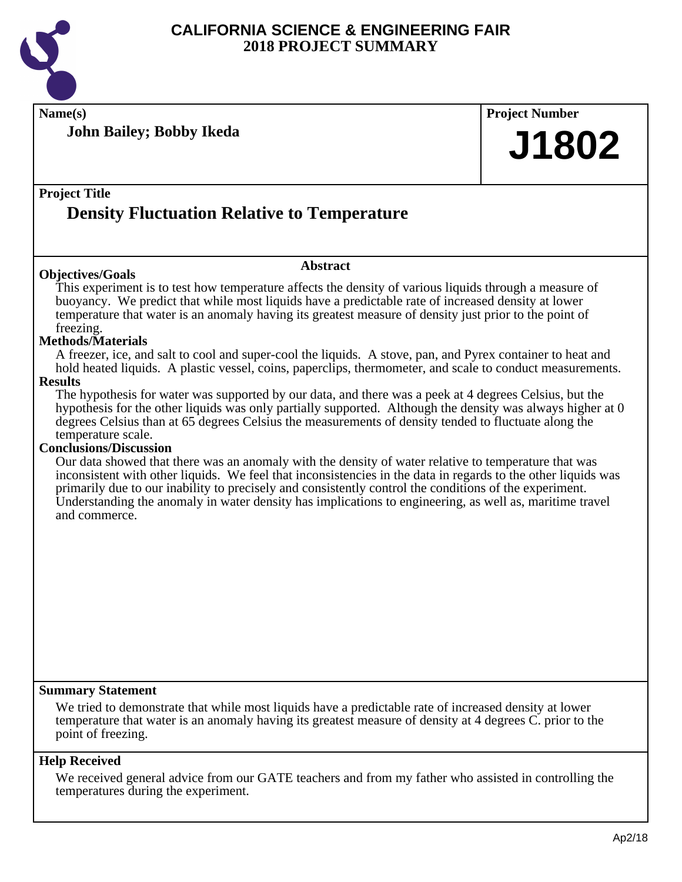

**Name(s) Project Number**

**John Bailey; Bobby Ikeda**

# **J1802**

#### **Project Title**

# **Density Fluctuation Relative to Temperature**

#### **Objectives/Goals**

#### **Abstract**

This experiment is to test how temperature affects the density of various liquids through a measure of buoyancy. We predict that while most liquids have a predictable rate of increased density at lower temperature that water is an anomaly having its greatest measure of density just prior to the point of freezing.

#### **Methods/Materials**

A freezer, ice, and salt to cool and super-cool the liquids. A stove, pan, and Pyrex container to heat and hold heated liquids. A plastic vessel, coins, paperclips, thermometer, and scale to conduct measurements. **Results**

The hypothesis for water was supported by our data, and there was a peek at 4 degrees Celsius, but the hypothesis for the other liquids was only partially supported. Although the density was always higher at 0 degrees Celsius than at 65 degrees Celsius the measurements of density tended to fluctuate along the temperature scale.

#### **Conclusions/Discussion**

Our data showed that there was an anomaly with the density of water relative to temperature that was inconsistent with other liquids. We feel that inconsistencies in the data in regards to the other liquids was primarily due to our inability to precisely and consistently control the conditions of the experiment. Understanding the anomaly in water density has implications to engineering, as well as, maritime travel and commerce.

#### **Summary Statement**

We tried to demonstrate that while most liquids have a predictable rate of increased density at lower temperature that water is an anomaly having its greatest measure of density at 4 degrees C. prior to the point of freezing.

#### **Help Received**

We received general advice from our GATE teachers and from my father who assisted in controlling the temperatures during the experiment.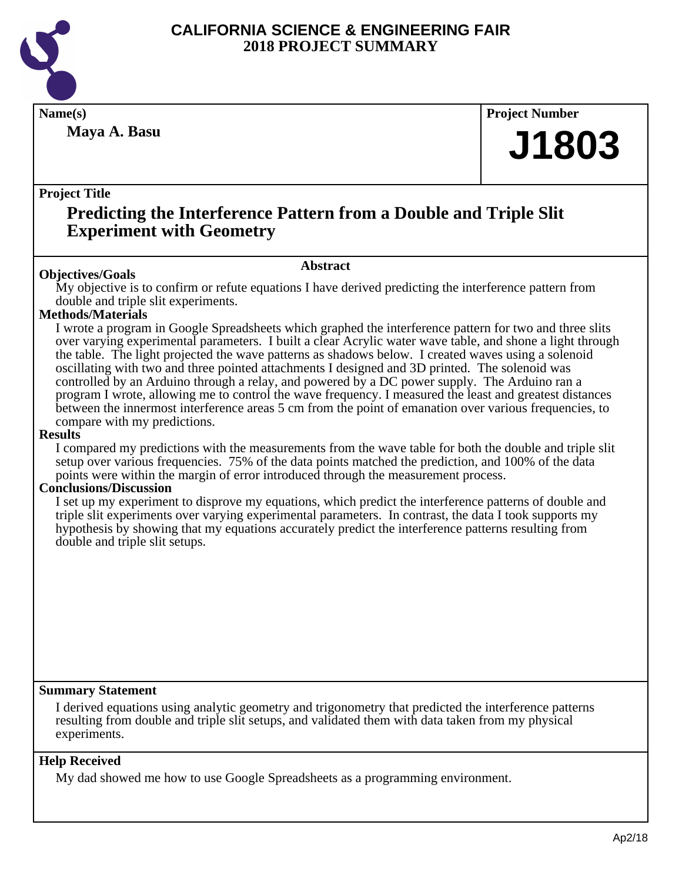

**Maya A. Basu**

**Name(s) Project Number**

# **J1803**

#### **Project Title**

# **Predicting the Interference Pattern from a Double and Triple Slit Experiment with Geometry**

#### **Abstract**

**Objectives/Goals** My objective is to confirm or refute equations I have derived predicting the interference pattern from double and triple slit experiments.

#### **Methods/Materials**

I wrote a program in Google Spreadsheets which graphed the interference pattern for two and three slits over varying experimental parameters. I built a clear Acrylic water wave table, and shone a light through the table. The light projected the wave patterns as shadows below. I created waves using a solenoid oscillating with two and three pointed attachments I designed and 3D printed. The solenoid was controlled by an Arduino through a relay, and powered by a DC power supply. The Arduino ran a program I wrote, allowing me to control the wave frequency. I measured the least and greatest distances between the innermost interference areas 5 cm from the point of emanation over various frequencies, to compare with my predictions.

#### **Results**

I compared my predictions with the measurements from the wave table for both the double and triple slit setup over various frequencies. 75% of the data points matched the prediction, and 100% of the data points were within the margin of error introduced through the measurement process.

#### **Conclusions/Discussion**

I set up my experiment to disprove my equations, which predict the interference patterns of double and triple slit experiments over varying experimental parameters. In contrast, the data I took supports my hypothesis by showing that my equations accurately predict the interference patterns resulting from double and triple slit setups.

#### **Summary Statement**

I derived equations using analytic geometry and trigonometry that predicted the interference patterns resulting from double and triple slit setups, and validated them with data taken from my physical experiments.

#### **Help Received**

My dad showed me how to use Google Spreadsheets as a programming environment.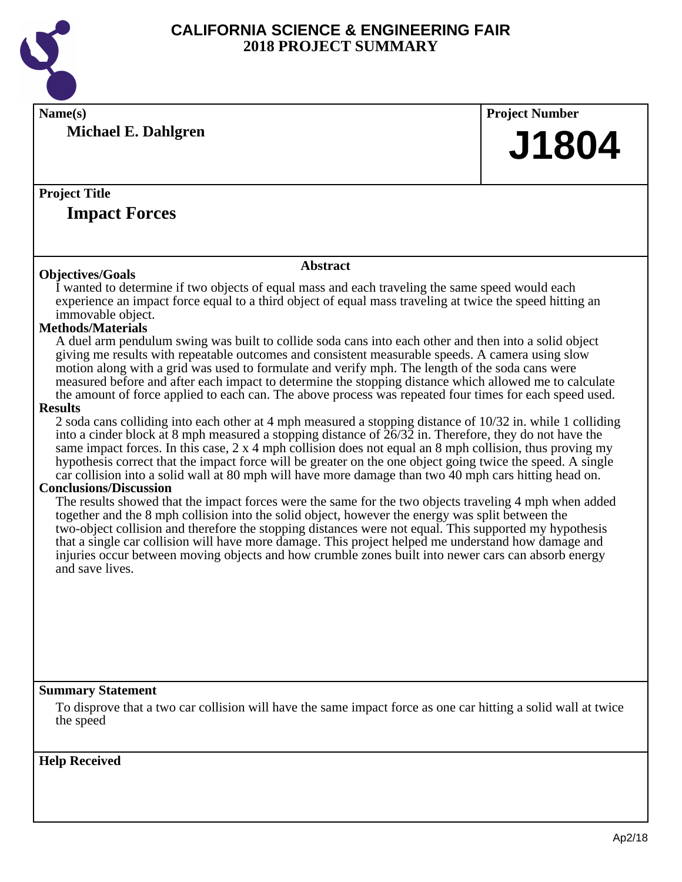

**Name(s) Project Number Michael E. Dahlgren**

### **Project Title**

### **Impact Forces**

#### **Objectives/Goals**

#### **Abstract**

I wanted to determine if two objects of equal mass and each traveling the same speed would each experience an impact force equal to a third object of equal mass traveling at twice the speed hitting an immovable object.

#### **Methods/Materials**

A duel arm pendulum swing was built to collide soda cans into each other and then into a solid object giving me results with repeatable outcomes and consistent measurable speeds. A camera using slow motion along with a grid was used to formulate and verify mph. The length of the soda cans were measured before and after each impact to determine the stopping distance which allowed me to calculate the amount of force applied to each can. The above process was repeated four times for each speed used.

#### **Results**

2 soda cans colliding into each other at 4 mph measured a stopping distance of 10/32 in. while 1 colliding into a cinder block at 8 mph measured a stopping distance of 26/32 in. Therefore, they do not have the same impact forces. In this case, 2 x 4 mph collision does not equal an 8 mph collision, thus proving my hypothesis correct that the impact force will be greater on the one object going twice the speed. A single car collision into a solid wall at 80 mph will have more damage than two 40 mph cars hitting head on.

#### **Conclusions/Discussion**

The results showed that the impact forces were the same for the two objects traveling 4 mph when added together and the 8 mph collision into the solid object, however the energy was split between the two-object collision and therefore the stopping distances were not equal. This supported my hypothesis that a single car collision will have more damage. This project helped me understand how damage and injuries occur between moving objects and how crumble zones built into newer cars can absorb energy and save lives.

#### **Summary Statement**

To disprove that a two car collision will have the same impact force as one car hitting a solid wall at twice the speed

#### **Help Received**

**J1804**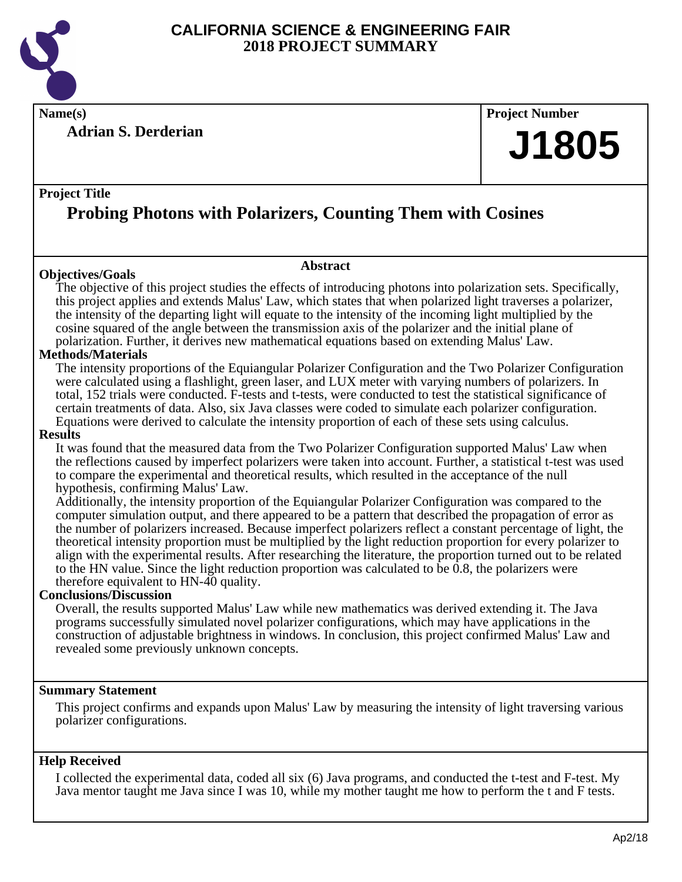

**Name(s) Project Number**

**Adrian S. Derderian**

#### **Project Title**

# **Probing Photons with Polarizers, Counting Them with Cosines**

#### **Objectives/Goals**

**Abstract**

The objective of this project studies the effects of introducing photons into polarization sets. Specifically, this project applies and extends Malus' Law, which states that when polarized light traverses a polarizer, the intensity of the departing light will equate to the intensity of the incoming light multiplied by the cosine squared of the angle between the transmission axis of the polarizer and the initial plane of polarization. Further, it derives new mathematical equations based on extending Malus' Law.

#### **Methods/Materials**

The intensity proportions of the Equiangular Polarizer Configuration and the Two Polarizer Configuration were calculated using a flashlight, green laser, and LUX meter with varying numbers of polarizers. In total, 152 trials were conducted. F-tests and t-tests, were conducted to test the statistical significance of certain treatments of data. Also, six Java classes were coded to simulate each polarizer configuration. Equations were derived to calculate the intensity proportion of each of these sets using calculus.

#### **Results**

It was found that the measured data from the Two Polarizer Configuration supported Malus' Law when the reflections caused by imperfect polarizers were taken into account. Further, a statistical t-test was used to compare the experimental and theoretical results, which resulted in the acceptance of the null hypothesis, confirming Malus' Law.

Additionally, the intensity proportion of the Equiangular Polarizer Configuration was compared to the computer simulation output, and there appeared to be a pattern that described the propagation of error as the number of polarizers increased. Because imperfect polarizers reflect a constant percentage of light, the theoretical intensity proportion must be multiplied by the light reduction proportion for every polarizer to align with the experimental results. After researching the literature, the proportion turned out to be related to the HN value. Since the light reduction proportion was calculated to be  $0.8$ , the polarizers were therefore equivalent to HN-40 quality.

#### **Conclusions/Discussion**

Overall, the results supported Malus' Law while new mathematics was derived extending it. The Java programs successfully simulated novel polarizer configurations, which may have applications in the construction of adjustable brightness in windows. In conclusion, this project confirmed Malus' Law and revealed some previously unknown concepts.

#### **Summary Statement**

This project confirms and expands upon Malus' Law by measuring the intensity of light traversing various polarizer configurations.

#### **Help Received**

I collected the experimental data, coded all six (6) Java programs, and conducted the t-test and F-test. My Java mentor taught me Java since I was 10, while my mother taught me how to perform the t and F tests.

**J1805**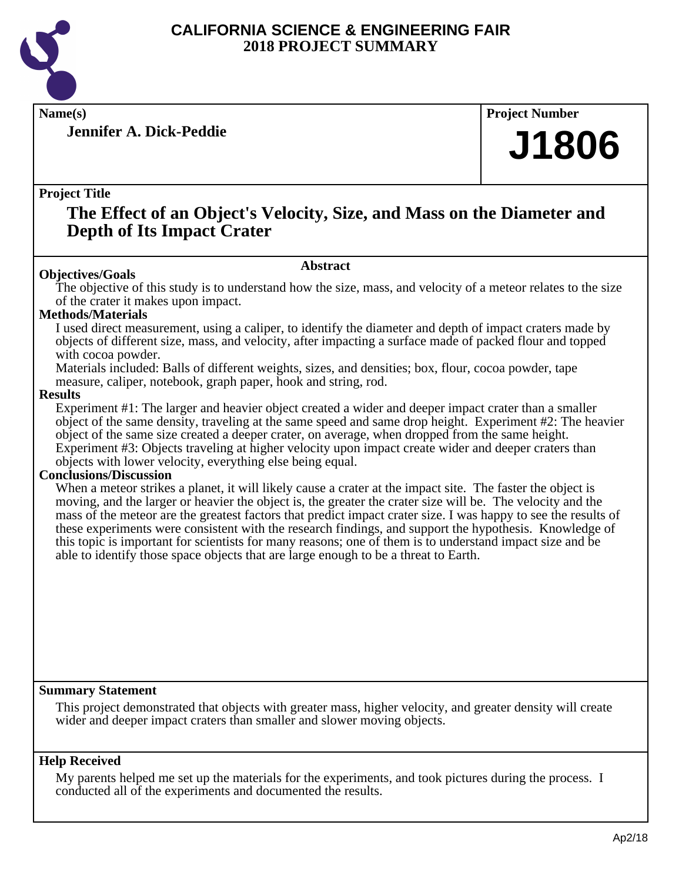

**Jennifer A. Dick-Peddie**

**Name(s) Project Number**

# **J1806**

#### **Project Title**

## **The Effect of an Object's Velocity, Size, and Mass on the Diameter and Depth of Its Impact Crater**

#### **Abstract**

**Objectives/Goals** The objective of this study is to understand how the size, mass, and velocity of a meteor relates to the size of the crater it makes upon impact.

#### **Methods/Materials**

I used direct measurement, using a caliper, to identify the diameter and depth of impact craters made by objects of different size, mass, and velocity, after impacting a surface made of packed flour and topped with cocoa powder.

Materials included: Balls of different weights, sizes, and densities; box, flour, cocoa powder, tape measure, caliper, notebook, graph paper, hook and string, rod.

#### **Results**

Experiment #1: The larger and heavier object created a wider and deeper impact crater than a smaller object of the same density, traveling at the same speed and same drop height. Experiment #2: The heavier object of the same size created a deeper crater, on average, when dropped from the same height. Experiment #3: Objects traveling at higher velocity upon impact create wider and deeper craters than objects with lower velocity, everything else being equal.

#### **Conclusions/Discussion**

When a meteor strikes a planet, it will likely cause a crater at the impact site. The faster the object is moving, and the larger or heavier the object is, the greater the crater size will be. The velocity and the mass of the meteor are the greatest factors that predict impact crater size. I was happy to see the results of these experiments were consistent with the research findings, and support the hypothesis. Knowledge of this topic is important for scientists for many reasons; one of them is to understand impact size and be able to identify those space objects that are large enough to be a threat to Earth.

#### **Summary Statement**

This project demonstrated that objects with greater mass, higher velocity, and greater density will create wider and deeper impact craters than smaller and slower moving objects.

#### **Help Received**

My parents helped me set up the materials for the experiments, and took pictures during the process. I conducted all of the experiments and documented the results.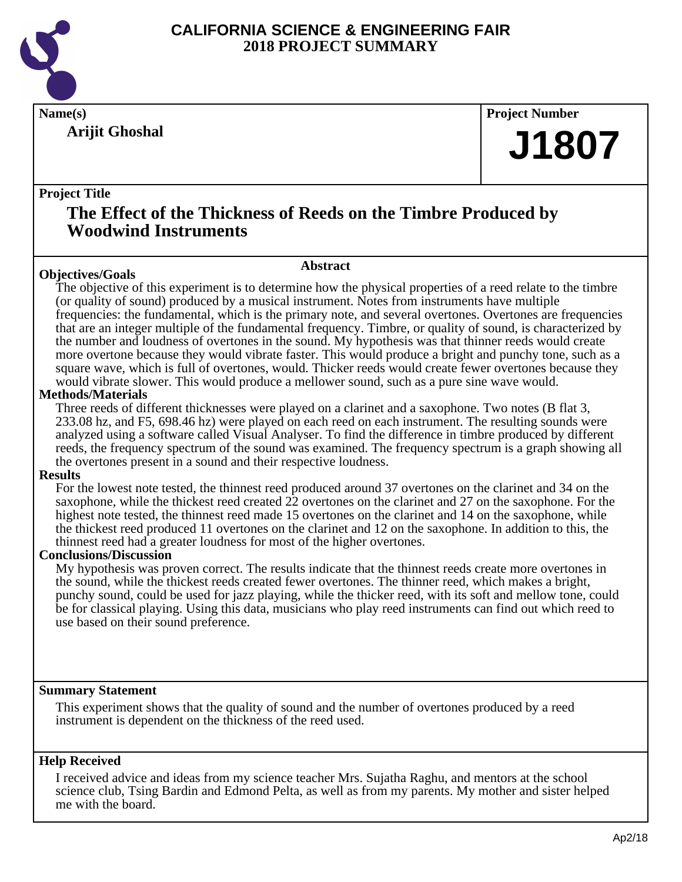

**Arijit Ghoshal**

**Name(s) Project Number**

# **J1807**

#### **Project Title**

# **The Effect of the Thickness of Reeds on the Timbre Produced by Woodwind Instruments**

**Abstract**

**Objectives/Goals** The objective of this experiment is to determine how the physical properties of a reed relate to the timbre (or quality of sound) produced by a musical instrument. Notes from instruments have multiple frequencies: the fundamental, which is the primary note, and several overtones. Overtones are frequencies that are an integer multiple of the fundamental frequency. Timbre, or quality of sound, is characterized by the number and loudness of overtones in the sound. My hypothesis was that thinner reeds would create more overtone because they would vibrate faster. This would produce a bright and punchy tone, such as a square wave, which is full of overtones, would. Thicker reeds would create fewer overtones because they would vibrate slower. This would produce a mellower sound, such as a pure sine wave would.

#### **Methods/Materials**

Three reeds of different thicknesses were played on a clarinet and a saxophone. Two notes (B flat 3, 233.08 hz, and F5, 698.46 hz) were played on each reed on each instrument. The resulting sounds were analyzed using a software called Visual Analyser. To find the difference in timbre produced by different reeds, the frequency spectrum of the sound was examined. The frequency spectrum is a graph showing all the overtones present in a sound and their respective loudness.

#### **Results**

For the lowest note tested, the thinnest reed produced around 37 overtones on the clarinet and 34 on the saxophone, while the thickest reed created 22 overtones on the clarinet and 27 on the saxophone. For the highest note tested, the thinnest reed made 15 overtones on the clarinet and 14 on the saxophone, while the thickest reed produced 11 overtones on the clarinet and 12 on the saxophone. In addition to this, the thinnest reed had a greater loudness for most of the higher overtones.

#### **Conclusions/Discussion**

My hypothesis was proven correct. The results indicate that the thinnest reeds create more overtones in the sound, while the thickest reeds created fewer overtones. The thinner reed, which makes a bright, punchy sound, could be used for jazz playing, while the thicker reed, with its soft and mellow tone, could be for classical playing. Using this data, musicians who play reed instruments can find out which reed to use based on their sound preference.

#### **Summary Statement**

This experiment shows that the quality of sound and the number of overtones produced by a reed instrument is dependent on the thickness of the reed used.

#### **Help Received**

I received advice and ideas from my science teacher Mrs. Sujatha Raghu, and mentors at the school science club, Tsing Bardin and Edmond Pelta, as well as from my parents. My mother and sister helped me with the board.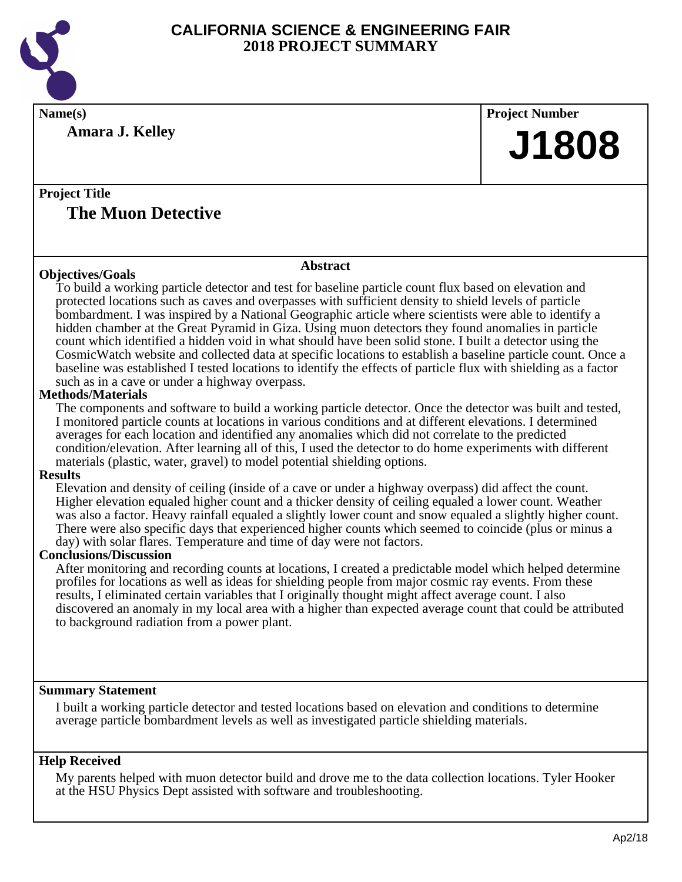

**Name(s) Project Number**

**Amara J. Kelley**

**J1808**

### **Project Title The Muon Detective**

#### **Objectives/Goals**

#### **Abstract**

To build a working particle detector and test for baseline particle count flux based on elevation and protected locations such as caves and overpasses with sufficient density to shield levels of particle bombardment. I was inspired by a National Geographic article where scientists were able to identify a hidden chamber at the Great Pyramid in Giza. Using muon detectors they found anomalies in particle count which identified a hidden void in what should have been solid stone. I built a detector using the CosmicWatch website and collected data at specific locations to establish a baseline particle count. Once a baseline was established I tested locations to identify the effects of particle flux with shielding as a factor such as in a cave or under a highway overpass.

#### **Methods/Materials**

The components and software to build a working particle detector. Once the detector was built and tested, I monitored particle counts at locations in various conditions and at different elevations. I determined averages for each location and identified any anomalies which did not correlate to the predicted condition/elevation. After learning all of this, I used the detector to do home experiments with different materials (plastic, water, gravel) to model potential shielding options.

#### **Results**

Elevation and density of ceiling (inside of a cave or under a highway overpass) did affect the count. Higher elevation equaled higher count and a thicker density of ceiling equaled a lower count. Weather was also a factor. Heavy rainfall equaled a slightly lower count and snow equaled a slightly higher count. There were also specific days that experienced higher counts which seemed to coincide (plus or minus a day) with solar flares. Temperature and time of day were not factors.

#### **Conclusions/Discussion**

After monitoring and recording counts at locations, I created a predictable model which helped determine profiles for locations as well as ideas for shielding people from major cosmic ray events. From these results, I eliminated certain variables that I originally thought might affect average count. I also discovered an anomaly in my local area with a higher than expected average count that could be attributed to background radiation from a power plant.

#### **Summary Statement**

I built a working particle detector and tested locations based on elevation and conditions to determine average particle bombardment levels as well as investigated particle shielding materials.

#### **Help Received**

My parents helped with muon detector build and drove me to the data collection locations. Tyler Hooker at the HSU Physics Dept assisted with software and troubleshooting.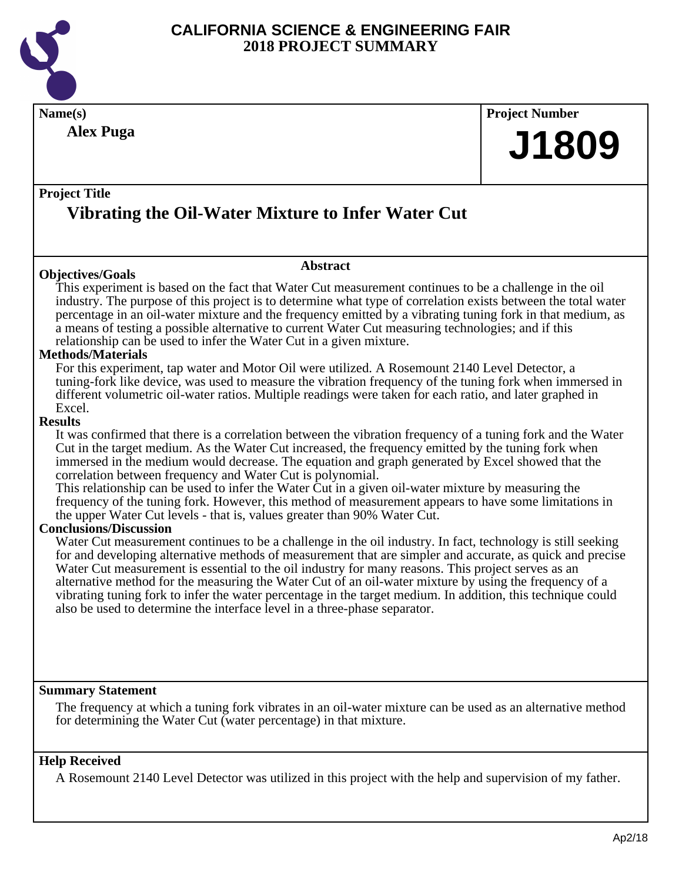

| Name(s)                                                                                                                                                                                                                                                                                                                                                                                                                                                                                                                                                                                                                                                                                           | <b>Project Number</b> |
|---------------------------------------------------------------------------------------------------------------------------------------------------------------------------------------------------------------------------------------------------------------------------------------------------------------------------------------------------------------------------------------------------------------------------------------------------------------------------------------------------------------------------------------------------------------------------------------------------------------------------------------------------------------------------------------------------|-----------------------|
| <b>Alex Puga</b>                                                                                                                                                                                                                                                                                                                                                                                                                                                                                                                                                                                                                                                                                  | J1809                 |
| <b>Project Title</b>                                                                                                                                                                                                                                                                                                                                                                                                                                                                                                                                                                                                                                                                              |                       |
| Vibrating the Oil-Water Mixture to Infer Water Cut                                                                                                                                                                                                                                                                                                                                                                                                                                                                                                                                                                                                                                                |                       |
| <b>Abstract</b><br><b>Objectives/Goals</b>                                                                                                                                                                                                                                                                                                                                                                                                                                                                                                                                                                                                                                                        |                       |
| This experiment is based on the fact that Water Cut measurement continues to be a challenge in the oil<br>industry. The purpose of this project is to determine what type of correlation exists between the total water<br>percentage in an oil-water mixture and the frequency emitted by a vibrating tuning fork in that medium, as<br>a means of testing a possible alternative to current Water Cut measuring technologies; and if this<br>relationship can be used to infer the Water Cut in a given mixture.                                                                                                                                                                                |                       |
| <b>Methods/Materials</b><br>For this experiment, tap water and Motor Oil were utilized. A Rosemount 2140 Level Detector, a<br>tuning-fork like device, was used to measure the vibration frequency of the tuning fork when immersed in<br>different volumetric oil-water ratios. Multiple readings were taken for each ratio, and later graphed in<br>Excel.                                                                                                                                                                                                                                                                                                                                      |                       |
| <b>Results</b><br>It was confirmed that there is a correlation between the vibration frequency of a tuning fork and the Water<br>Cut in the target medium. As the Water Cut increased, the frequency emitted by the tuning fork when<br>immersed in the medium would decrease. The equation and graph generated by Excel showed that the<br>correlation between frequency and Water Cut is polynomial.<br>This relationship can be used to infer the Water Cut in a given oil-water mixture by measuring the<br>frequency of the tuning fork. However, this method of measurement appears to have some limitations in<br>the upper Water Cut levels - that is, values greater than 90% Water Cut. |                       |

#### **Conclusions/Discussion**

Water Cut measurement continues to be a challenge in the oil industry. In fact, technology is still seeking for and developing alternative methods of measurement that are simpler and accurate, as quick and precise Water Cut measurement is essential to the oil industry for many reasons. This project serves as an alternative method for the measuring the Water Cut of an oil-water mixture by using the frequency of a vibrating tuning fork to infer the water percentage in the target medium. In addition, this technique could also be used to determine the interface level in a three-phase separator.

#### **Summary Statement**

The frequency at which a tuning fork vibrates in an oil-water mixture can be used as an alternative method for determining the Water Cut (water percentage) in that mixture.

#### **Help Received**

A Rosemount 2140 Level Detector was utilized in this project with the help and supervision of my father.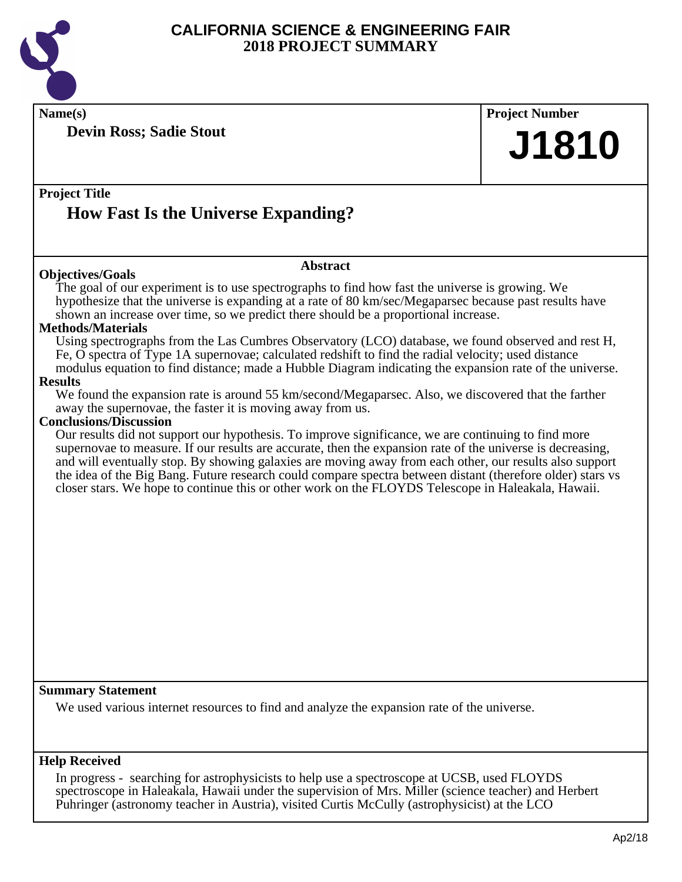

**Name(s) Project Number**

**Devin Ross; Sadie Stout**

**Project Title**

# **How Fast Is the Universe Expanding?**

#### **Objectives/Goals**

**Abstract**

The goal of our experiment is to use spectrographs to find how fast the universe is growing. We hypothesize that the universe is expanding at a rate of 80 km/sec/Megaparsec because past results have shown an increase over time, so we predict there should be a proportional increase.

#### **Methods/Materials**

Using spectrographs from the Las Cumbres Observatory (LCO) database, we found observed and rest H, Fe, O spectra of Type 1A supernovae; calculated redshift to find the radial velocity; used distance modulus equation to find distance; made a Hubble Diagram indicating the expansion rate of the universe.

#### **Results**

We found the expansion rate is around 55 km/second/Megaparsec. Also, we discovered that the farther away the supernovae, the faster it is moving away from us.

#### **Conclusions/Discussion**

Our results did not support our hypothesis. To improve significance, we are continuing to find more supernovae to measure. If our results are accurate, then the expansion rate of the universe is decreasing, and will eventually stop. By showing galaxies are moving away from each other, our results also support the idea of the Big Bang. Future research could compare spectra between distant (therefore older) stars vs closer stars. We hope to continue this or other work on the FLOYDS Telescope in Haleakala, Hawaii.

#### **Summary Statement**

We used various internet resources to find and analyze the expansion rate of the universe.

#### **Help Received**

In progress - searching for astrophysicists to help use a spectroscope at UCSB, used FLOYDS spectroscope in Haleakala, Hawaii under the supervision of Mrs. Miller (science teacher) and Herbert Puhringer (astronomy teacher in Austria), visited Curtis McCully (astrophysicist) at the LCO

**J1810**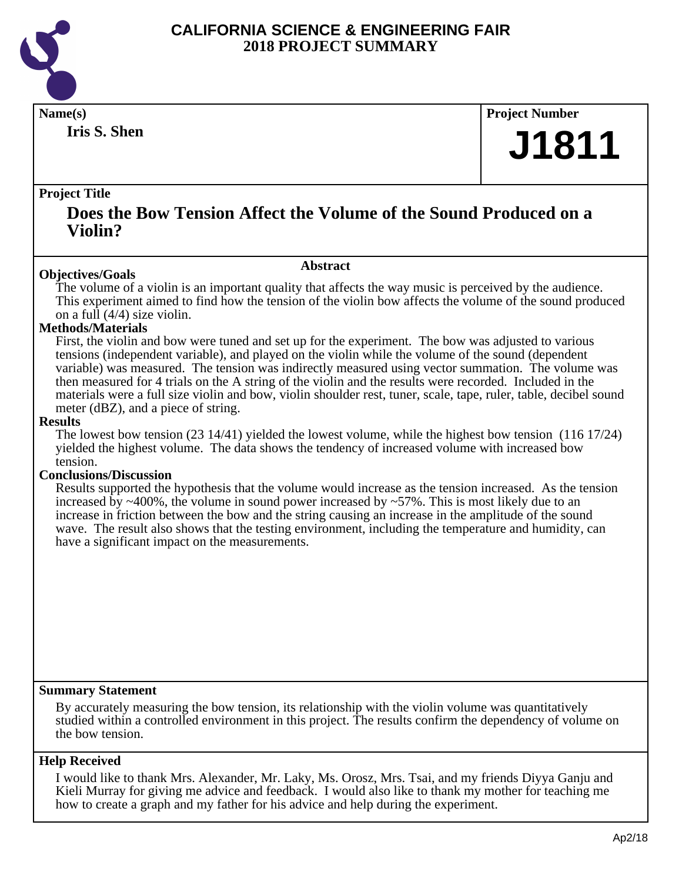

**Iris S. Shen**

**Name(s) Project Number**

# **J1811**

#### **Project Title**

### **Does the Bow Tension Affect the Volume of the Sound Produced on a Violin?**

#### **Abstract**

**Objectives/Goals** The volume of a violin is an important quality that affects the way music is perceived by the audience. This experiment aimed to find how the tension of the violin bow affects the volume of the sound produced on a full (4/4) size violin.

#### **Methods/Materials**

First, the violin and bow were tuned and set up for the experiment. The bow was adjusted to various tensions (independent variable), and played on the violin while the volume of the sound (dependent variable) was measured. The tension was indirectly measured using vector summation. The volume was then measured for 4 trials on the A string of the violin and the results were recorded. Included in the materials were a full size violin and bow, violin shoulder rest, tuner, scale, tape, ruler, table, decibel sound meter (dBZ), and a piece of string.

#### **Results**

The lowest bow tension (23 14/41) yielded the lowest volume, while the highest bow tension (116 17/24) yielded the highest volume. The data shows the tendency of increased volume with increased bow tension.

#### **Conclusions/Discussion**

Results supported the hypothesis that the volume would increase as the tension increased. As the tension increased by  $\sim$ 400%, the volume in sound power increased by  $\sim$ 57%. This is most likely due to an increase in friction between the bow and the string causing an increase in the amplitude of the sound wave. The result also shows that the testing environment, including the temperature and humidity, can have a significant impact on the measurements.

#### **Summary Statement**

By accurately measuring the bow tension, its relationship with the violin volume was quantitatively studied within a controlled environment in this project. The results confirm the dependency of volume on the bow tension.

#### **Help Received**

I would like to thank Mrs. Alexander, Mr. Laky, Ms. Orosz, Mrs. Tsai, and my friends Diyya Ganju and Kieli Murray for giving me advice and feedback. I would also like to thank my mother for teaching me how to create a graph and my father for his advice and help during the experiment.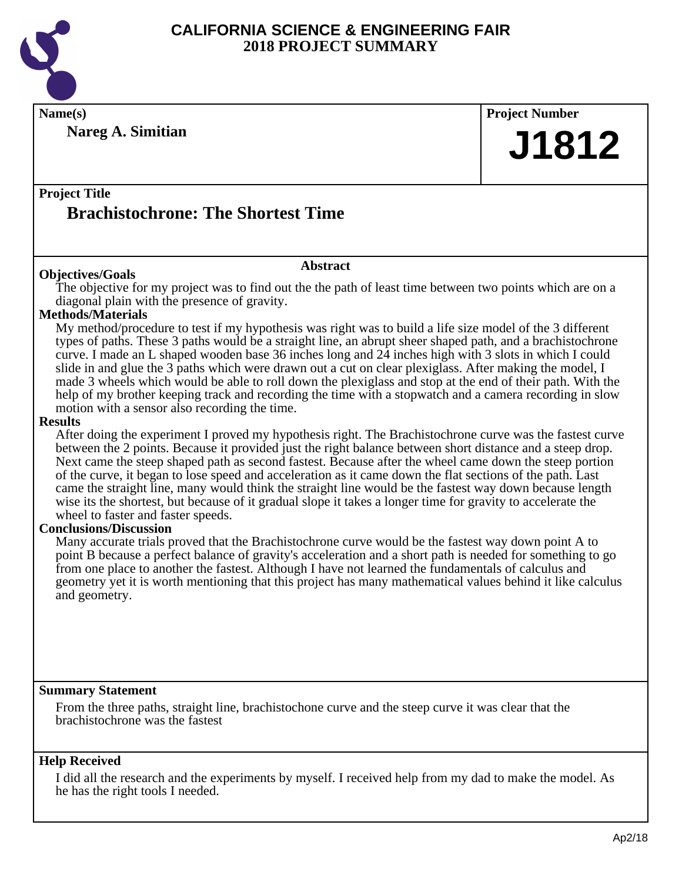

**Name(s) Project Number**

**Nareg A. Simitian**

**J1812**

### **Project Title Brachistochrone: The Shortest Time**

#### **Abstract**

**Objectives/Goals** The objective for my project was to find out the the path of least time between two points which are on a diagonal plain with the presence of gravity.

#### **Methods/Materials**

My method/procedure to test if my hypothesis was right was to build a life size model of the 3 different types of paths. These 3 paths would be a straight line, an abrupt sheer shaped path, and a brachistochrone curve. I made an L shaped wooden base 36 inches long and  $2\overline{4}$  inches high with 3 slots in which I could slide in and glue the 3 paths which were drawn out a cut on clear plexiglass. After making the model, I made 3 wheels which would be able to roll down the plexiglass and stop at the end of their path. With the help of my brother keeping track and recording the time with a stopwatch and a camera recording in slow motion with a sensor also recording the time.

#### **Results**

After doing the experiment I proved my hypothesis right. The Brachistochrone curve was the fastest curve between the 2 points. Because it provided just the right balance between short distance and a steep drop. Next came the steep shaped path as second fastest. Because after the wheel came down the steep portion of the curve, it began to lose speed and acceleration as it came down the flat sections of the path. Last came the straight line, many would think the straight line would be the fastest way down because length wise its the shortest, but because of it gradual slope it takes a longer time for gravity to accelerate the wheel to faster and faster speeds.

#### **Conclusions/Discussion**

Many accurate trials proved that the Brachistochrone curve would be the fastest way down point A to point B because a perfect balance of gravity's acceleration and a short path is needed for something to go from one place to another the fastest. Although I have not learned the fundamentals of calculus and geometry yet it is worth mentioning that this project has many mathematical values behind it like calculus and geometry.

#### **Summary Statement**

From the three paths, straight line, brachistochone curve and the steep curve it was clear that the brachistochrone was the fastest

#### **Help Received**

I did all the research and the experiments by myself. I received help from my dad to make the model. As he has the right tools I needed.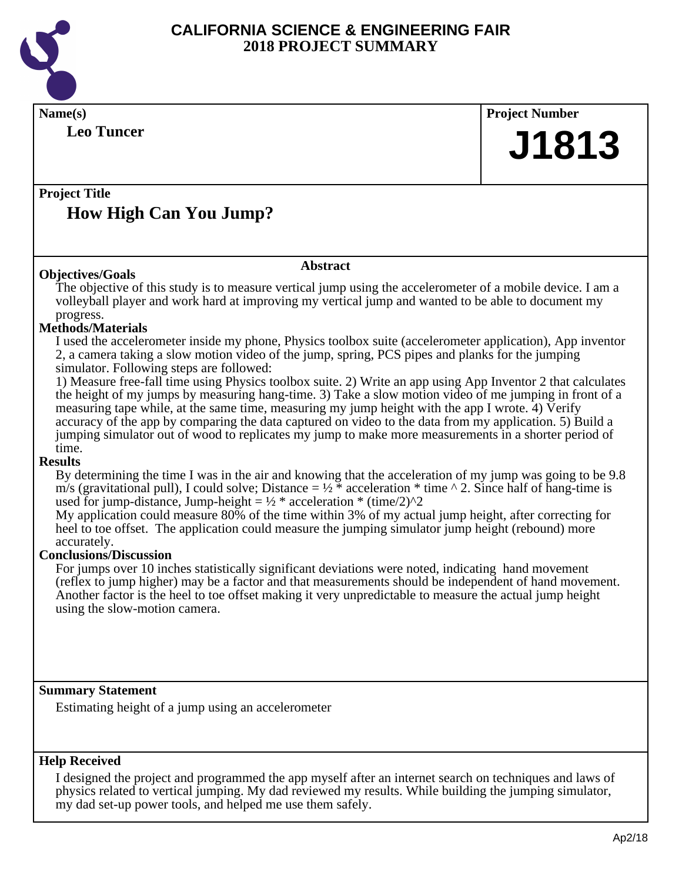

| <b>Leo Tuncer</b>                                                                                                                                                                                                                                                                                                                                                                                                                                                                                                                                                                                                                                                                                                                                                                                                                                                                                                                                                                                                                                                                                                                                                                                                                                                                                                                                                                                                                                                                                                                                                                                                                                          | <b>Project Number</b> |
|------------------------------------------------------------------------------------------------------------------------------------------------------------------------------------------------------------------------------------------------------------------------------------------------------------------------------------------------------------------------------------------------------------------------------------------------------------------------------------------------------------------------------------------------------------------------------------------------------------------------------------------------------------------------------------------------------------------------------------------------------------------------------------------------------------------------------------------------------------------------------------------------------------------------------------------------------------------------------------------------------------------------------------------------------------------------------------------------------------------------------------------------------------------------------------------------------------------------------------------------------------------------------------------------------------------------------------------------------------------------------------------------------------------------------------------------------------------------------------------------------------------------------------------------------------------------------------------------------------------------------------------------------------|-----------------------|
|                                                                                                                                                                                                                                                                                                                                                                                                                                                                                                                                                                                                                                                                                                                                                                                                                                                                                                                                                                                                                                                                                                                                                                                                                                                                                                                                                                                                                                                                                                                                                                                                                                                            | J1813                 |
| <b>Project Title</b><br><b>How High Can You Jump?</b>                                                                                                                                                                                                                                                                                                                                                                                                                                                                                                                                                                                                                                                                                                                                                                                                                                                                                                                                                                                                                                                                                                                                                                                                                                                                                                                                                                                                                                                                                                                                                                                                      |                       |
| <b>Abstract</b><br><b>Objectives/Goals</b>                                                                                                                                                                                                                                                                                                                                                                                                                                                                                                                                                                                                                                                                                                                                                                                                                                                                                                                                                                                                                                                                                                                                                                                                                                                                                                                                                                                                                                                                                                                                                                                                                 |                       |
| The objective of this study is to measure vertical jump using the accelerometer of a mobile device. I am a<br>volleyball player and work hard at improving my vertical jump and wanted to be able to document my<br>progress.<br><b>Methods/Materials</b><br>I used the accelerometer inside my phone, Physics toolbox suite (accelerometer application), App inventor<br>2, a camera taking a slow motion video of the jump, spring, PCS pipes and planks for the jumping<br>simulator. Following steps are followed:<br>1) Measure free-fall time using Physics toolbox suite. 2) Write an app using App Inventor 2 that calculates<br>the height of my jumps by measuring hang-time. 3) Take a slow motion video of me jumping in front of a<br>measuring tape while, at the same time, measuring my jump height with the app I wrote. 4) Verify<br>accuracy of the app by comparing the data captured on video to the data from my application. 5) Build a<br>jumping simulator out of wood to replicates my jump to make more measurements in a shorter period of<br>time.<br><b>Results</b><br>By determining the time I was in the air and knowing that the acceleration of my jump was going to be 9.8<br>m/s (gravitational pull), I could solve; Distance = $\frac{1}{2}$ * acceleration * time ^ 2. Since half of hang-time is<br>used for jump-distance, Jump-height = $\frac{1}{2}$ * acceleration * (time/2)^2<br>My application could measure 80% of the time within 3% of my actual jump height, after correcting for<br>heel to toe offset. The application could measure the jumping simulator jump height (rebound) more<br>accurately. |                       |
| <b>Conclusions/Discussion</b><br>For jumps over 10 inches statistically significant deviations were noted, indicating hand movement<br>(reflex to jump higher) may be a factor and that measurements should be independent of hand movement.<br>Another factor is the heel to toe offset making it very unpredictable to measure the actual jump height<br>using the slow-motion camera.                                                                                                                                                                                                                                                                                                                                                                                                                                                                                                                                                                                                                                                                                                                                                                                                                                                                                                                                                                                                                                                                                                                                                                                                                                                                   |                       |

I designed the project and programmed the app myself after an internet search on techniques and laws of physics related to vertical jumping. My dad reviewed my results. While building the jumping simulator, my dad set-up power tools, and helped me use them safely.